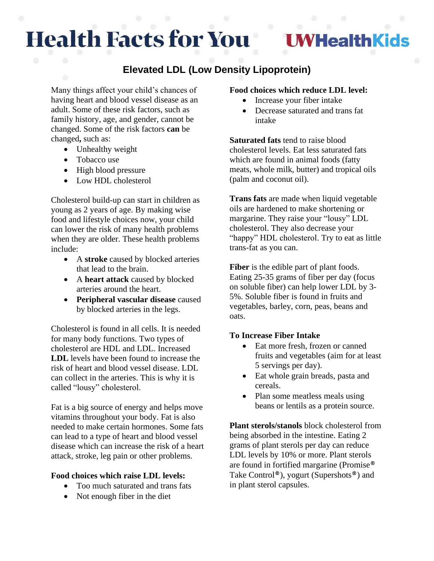# **Health Facts for You**

**UWHealthKids** 

## **Elevated LDL (Low Density Lipoprotein)**

Many things affect your child's chances of having heart and blood vessel disease as an adult. Some of these risk factors, such as family history, age, and gender, cannot be changed. Some of the risk factors **can** be changed**,** such as:

- Unhealthy weight
- Tobacco use
- High blood pressure
- Low HDL cholesterol

Cholesterol build-up can start in children as young as 2 years of age. By making wise food and lifestyle choices now, your child can lower the risk of many health problems when they are older. These health problems include:

- A **stroke** caused by blocked arteries that lead to the brain.
- A **heart attack** caused by blocked arteries around the heart.
- **Peripheral vascular disease** caused by blocked arteries in the legs.

Cholesterol is found in all cells. It is needed for many body functions. Two types of cholesterol are HDL and LDL. Increased **LDL** levels have been found to increase the risk of heart and blood vessel disease. LDL can collect in the arteries. This is why it is called "lousy" cholesterol.

Fat is a big source of energy and helps move vitamins throughout your body. Fat is also needed to make certain hormones. Some fats can lead to a type of heart and blood vessel disease which can increase the risk of a heart attack, stroke, leg pain or other problems.

#### **Food choices which raise LDL levels:**

- Too much saturated and trans fats
- Not enough fiber in the diet

#### **Food choices which reduce LDL level:**

- Increase your fiber intake
- Decrease saturated and trans fat intake

**Saturated fats** tend to raise blood cholesterol levels. Eat less saturated fats which are found in animal foods (fatty meats, whole milk, butter) and tropical oils (palm and coconut oil).

**Trans fats** are made when liquid vegetable oils are hardened to make shortening or margarine. They raise your "lousy" LDL cholesterol. They also decrease your "happy" HDL cholesterol. Try to eat as little trans-fat as you can.

**Fiber** is the edible part of plant foods. Eating 25-35 grams of fiber per day (focus on soluble fiber) can help lower LDL by 3- 5%. Soluble fiber is found in fruits and vegetables, barley, corn, peas, beans and oats.

#### **To Increase Fiber Intake**

- Eat more fresh, frozen or canned fruits and vegetables (aim for at least 5 servings per day).
- Eat whole grain breads, pasta and cereals.
- Plan some meatless meals using beans or lentils as a protein source.

**Plant sterols/stanols** block cholesterol from being absorbed in the intestine. Eating 2 grams of plant sterols per day can reduce LDL levels by 10% or more. Plant sterols are found in fortified margarine (Promise® Take Control®), yogurt (Supershots®) and in plant sterol capsules.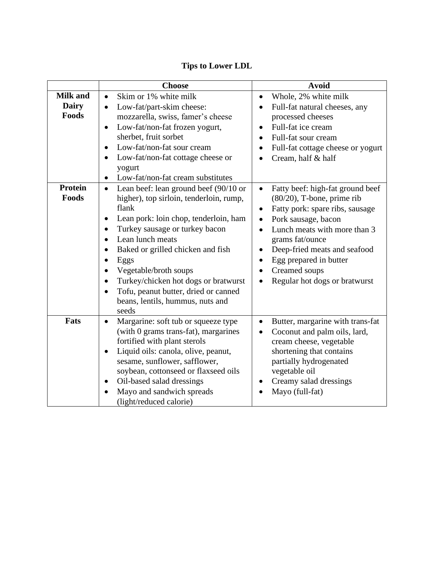|                                          | <b>Choose</b>                                                                                                                                                                                                                                                                                                                                                                                                                                                             | <b>Avoid</b>                                                                                                                                                                                                                                                                                                                                   |
|------------------------------------------|---------------------------------------------------------------------------------------------------------------------------------------------------------------------------------------------------------------------------------------------------------------------------------------------------------------------------------------------------------------------------------------------------------------------------------------------------------------------------|------------------------------------------------------------------------------------------------------------------------------------------------------------------------------------------------------------------------------------------------------------------------------------------------------------------------------------------------|
| <b>Milk and</b><br><b>Dairy</b><br>Foods | Skim or 1% white milk<br>$\bullet$<br>Low-fat/part-skim cheese:<br>$\bullet$<br>mozzarella, swiss, famer's cheese<br>Low-fat/non-fat frozen yogurt,<br>$\bullet$<br>sherbet, fruit sorbet<br>Low-fat/non-fat sour cream<br>Low-fat/non-fat cottage cheese or<br>$\bullet$<br>yogurt<br>Low-fat/non-fat cream substitutes<br>$\bullet$                                                                                                                                     | Whole, 2% white milk<br>Full-fat natural cheeses, any<br>processed cheeses<br>Full-fat ice cream<br>Full-fat sour cream<br>$\bullet$<br>Full-fat cottage cheese or yogurt<br>Cream, half & half                                                                                                                                                |
| <b>Protein</b><br>Foods                  | Lean beef: lean ground beef (90/10 or<br>$\bullet$<br>higher), top sirloin, tenderloin, rump,<br>flank<br>Lean pork: loin chop, tenderloin, ham<br>Turkey sausage or turkey bacon<br>$\bullet$<br>Lean lunch meats<br>$\bullet$<br>Baked or grilled chicken and fish<br>Eggs<br>$\bullet$<br>Vegetable/broth soups<br>Turkey/chicken hot dogs or bratwurst<br>$\bullet$<br>Tofu, peanut butter, dried or canned<br>$\bullet$<br>beans, lentils, hummus, nuts and<br>seeds | Fatty beef: high-fat ground beef<br>$\bullet$<br>$(80/20)$ , T-bone, prime rib<br>Fatty pork: spare ribs, sausage<br>Pork sausage, bacon<br>$\bullet$<br>Lunch meats with more than 3<br>$\bullet$<br>grams fat/ounce<br>Deep-fried meats and seafood<br>Egg prepared in butter<br>$\bullet$<br>Creamed soups<br>Regular hot dogs or bratwurst |
| Fats                                     | Margarine: soft tub or squeeze type<br>$\bullet$<br>(with 0 grams trans-fat), margarines<br>fortified with plant sterols<br>Liquid oils: canola, olive, peanut,<br>$\bullet$<br>sesame, sunflower, safflower,<br>soybean, cottonseed or flaxseed oils<br>Oil-based salad dressings<br>Mayo and sandwich spreads<br>$\bullet$<br>(light/reduced calorie)                                                                                                                   | Butter, margarine with trans-fat<br>$\bullet$<br>Coconut and palm oils, lard,<br>cream cheese, vegetable<br>shortening that contains<br>partially hydrogenated<br>vegetable oil<br>Creamy salad dressings<br>Mayo (full-fat)                                                                                                                   |

### **Tips to Lower LDL**